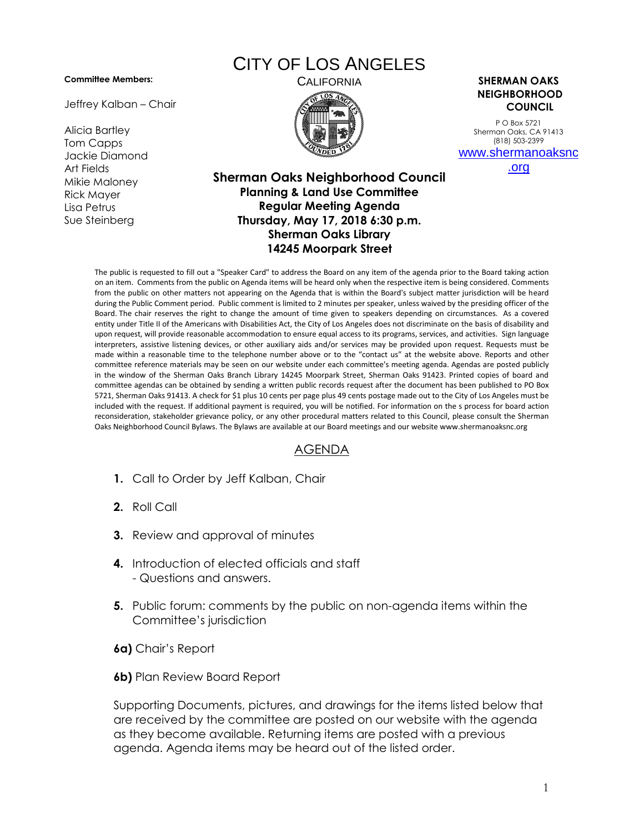## **Committee Members:**

Jeffrey Kalban – Chair

Alicia Bartley Tom Capps Jackie Diamond Art Fields Mikie Maloney Rick Mayer Lisa Petrus Sue Steinberg

## CITY OF LOS ANGELES



CALIFORNIA **SHERMAN OAKS NEIGHBORHOOD COUNCIL**

> P O Box 5721 Sherman Oaks, CA 91413 (818) 503-2399 [www.shermanoaksnc](http://www.shermanoaksnc.org/)

> > [.org](http://www.shermanoaksnc.org/)

## **Sherman Oaks Neighborhood Council Planning & Land Use Committee Regular Meeting Agenda Thursday, May 17, 2018 6:30 p.m. Sherman Oaks Library 14245 Moorpark Street**

The public is requested to fill out a "Speaker Card" to address the Board on any item of the agenda prior to the Board taking action on an item. Comments from the public on Agenda items will be heard only when the respective item is being considered. Comments from the public on other matters not appearing on the Agenda that is within the Board's subject matter jurisdiction will be heard during the Public Comment period. Public comment is limited to 2 minutes per speaker, unless waived by the presiding officer of the Board. The chair reserves the right to change the amount of time given to speakers depending on circumstances. As a covered entity under Title II of the Americans with Disabilities Act, the City of Los Angeles does not discriminate on the basis of disability and upon request, will provide reasonable accommodation to ensure equal access to its programs, services, and activities. Sign language interpreters, assistive listening devices, or other auxiliary aids and/or services may be provided upon request. Requests must be made within a reasonable time to the telephone number above or to the "contact us" at the website above. Reports and other committee reference materials may be seen on our website under each committee's meeting agenda. Agendas are posted publicly in the window of the Sherman Oaks Branch Library 14245 Moorpark Street, Sherman Oaks 91423. Printed copies of board and committee agendas can be obtained by sending a written public records request after the document has been published to PO Box 5721, Sherman Oaks 91413. A check for \$1 plus 10 cents per page plus 49 cents postage made out to the City of Los Angeles must be included with the request. If additional payment is required, you will be notified. For information on the s process for board action reconsideration, stakeholder grievance policy, or any other procedural matters related to this Council, please consult the Sherman Oaks Neighborhood Council Bylaws. The Bylaws are available at our Board meetings and our website www.shermanoaksnc.org

## AGENDA

- **1.** Call to Order by Jeff Kalban, Chair
- **2.** Roll Call
- **3.** Review and approval of minutes
- **4.** Introduction of elected officials and staff - Questions and answers.
- **5.** Public forum: comments by the public on non-agenda items within the Committee's jurisdiction
- **6a)** Chair's Report
- **6b)** Plan Review Board Report

Supporting Documents, pictures, and drawings for the items listed below that are received by the committee are posted on our website with the agenda as they become available. Returning items are posted with a previous agenda. Agenda items may be heard out of the listed order.